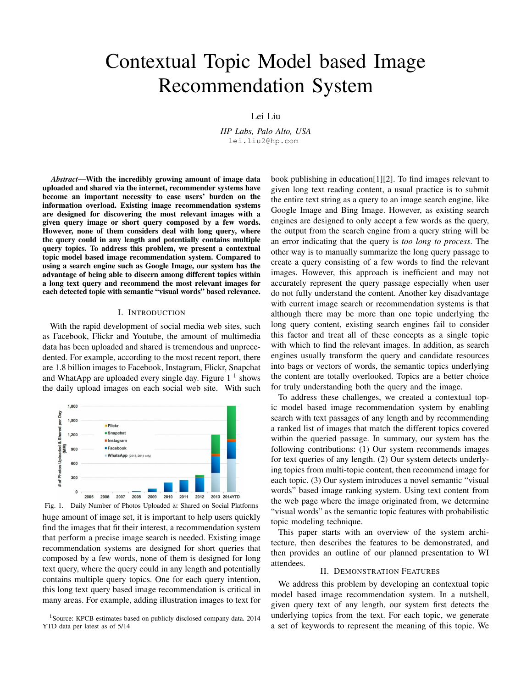# Contextual Topic Model based Image Recommendation System

Lei Liu

*HP Labs, Palo Alto, USA* lei.liu2@hp.com

*Abstract*—With the incredibly growing amount of image data uploaded and shared via the internet, recommender systems have become an important necessity to ease users' burden on the information overload. Existing image recommendation systems are designed for discovering the most relevant images with a given query image or short query composed by a few words. However, none of them considers deal with long query, where the query could in any length and potentially contains multiple query topics. To address this problem, we present a contextual topic model based image recommendation system. Compared to using a search engine such as Google Image, our system has the advantage of being able to discern among different topics within a long text query and recommend the most relevant images for each detected topic with semantic "visual words" based relevance.

### I. INTRODUCTION

With the rapid development of social media web sites, such as Facebook, Flickr and Youtube, the amount of multimedia data has been uploaded and shared is tremendous and unprecedented. For example, according to the most recent report, there are 1.8 billion images to Facebook, Instagram, Flickr, Snapchat and WhatApp are uploaded every single day. Figure  $1<sup>1</sup>$  shows the daily upload images on each social web site. With such



Fig. 1. Daily Number of Photos Uploaded & Shared on Social Platforms huge amount of image set, it is important to help users quickly find the images that fit their interest, a recommendation system that perform a precise image search is needed. Existing image recommendation systems are designed for short queries that composed by a few words, none of them is designed for long text query, where the query could in any length and potentially contains multiple query topics. One for each query intention, this long text query based image recommendation is critical in many areas. For example, adding illustration images to text for

<sup>1</sup>Source: KPCB estimates based on publicly disclosed company data. 2014 YTD data per latest as of 5/14

book publishing in education[1][2]. To find images relevant to given long text reading content, a usual practice is to submit the entire text string as a query to an image search engine, like Google Image and Bing Image. However, as existing search engines are designed to only accept a few words as the query, the output from the search engine from a query string will be an error indicating that the query is *too long to process*. The other way is to manually summarize the long query passage to create a query consisting of a few words to find the relevant images. However, this approach is inefficient and may not accurately represent the query passage especially when user do not fully understand the content. Another key disadvantage with current image search or recommendation systems is that although there may be more than one topic underlying the long query content, existing search engines fail to consider this factor and treat all of these concepts as a single topic with which to find the relevant images. In addition, as search engines usually transform the query and candidate resources into bags or vectors of words, the semantic topics underlying the content are totally overlooked. Topics are a better choice for truly understanding both the query and the image.

To address these challenges, we created a contextual topic model based image recommendation system by enabling search with text passages of any length and by recommending a ranked list of images that match the different topics covered within the queried passage. In summary, our system has the following contributions: (1) Our system recommends images for text queries of any length. (2) Our system detects underlying topics from multi-topic content, then recommend image for each topic. (3) Our system introduces a novel semantic "visual words" based image ranking system. Using text content from the web page where the image originated from, we determine "visual words" as the semantic topic features with probabilistic topic modeling technique.

This paper starts with an overview of the system architecture, then describes the features to be demonstrated, and then provides an outline of our planned presentation to WI attendees.

#### II. DEMONSTRATION FEATURES

We address this problem by developing an contextual topic model based image recommendation system. In a nutshell, given query text of any length, our system first detects the underlying topics from the text. For each topic, we generate a set of keywords to represent the meaning of this topic. We